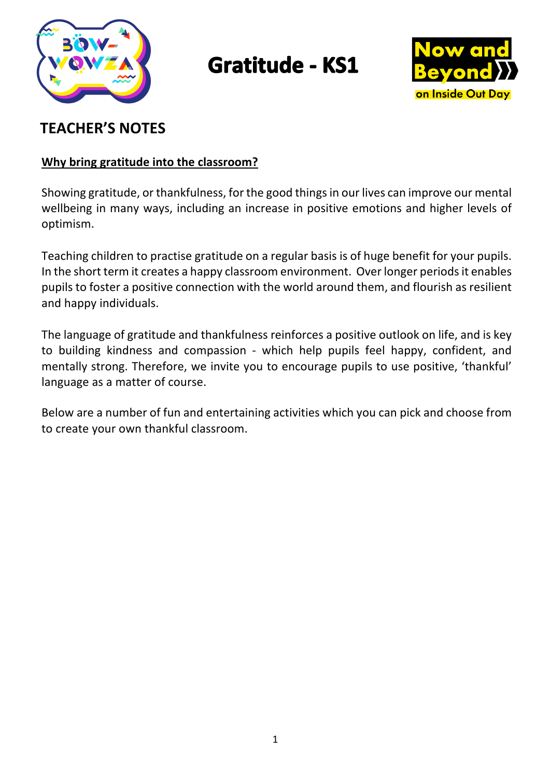

# **Gratitude - KS1**



# **TEACHER'S NOTES**

### **Why bring gratitude into the classroom?**

Showing gratitude, or thankfulness, for the good things in our lives can improve our mental wellbeing in many ways, including an increase in positive emotions and higher levels of optimism.

Teaching children to practise gratitude on a regular basis is of huge benefit for your pupils. In the short term it creates a happy classroom environment. Over longer periods it enables pupils to foster a positive connection with the world around them, and flourish as resilient and happy individuals.

The language of gratitude and thankfulness reinforces a positive outlook on life, and is key to building kindness and compassion - which help pupils feel happy, confident, and mentally strong. Therefore, we invite you to encourage pupils to use positive, 'thankful' language as a matter of course.

Below are a number of fun and entertaining activities which you can pick and choose from to create your own thankful classroom.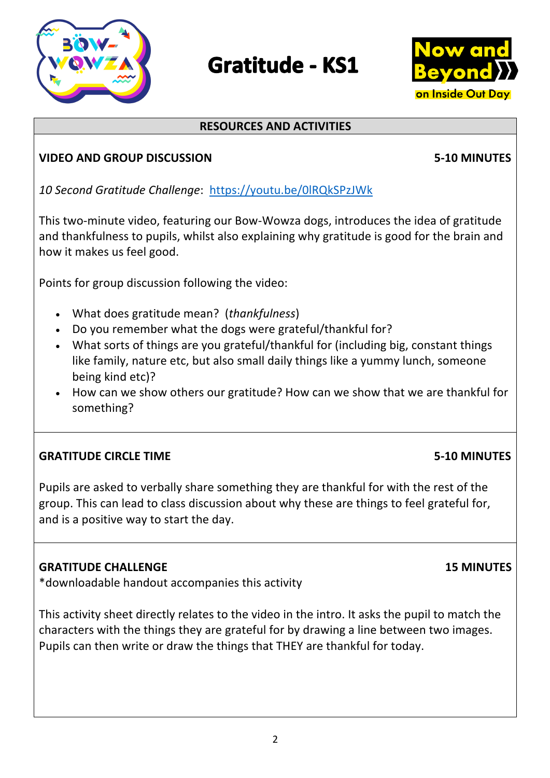# **Gratitude - KS1**

# **RESOURCES AND ACTIVITIES**

## **VIDEO AND GROUP DISCUSSION****5-10 MINUTES**

*10 Second Gratitude Challenge*: https://youtu.be/0lRQkSPzJWk

This two-minute video, featuring our Bow-Wowza dogs, introduces the idea of gratitude and thankfulness to pupils, whilst also explaining why gratitude is good for the brain and how it makes us feel good.

Points for group discussion following the video:

- What does gratitude mean? (*thankfulness*)
- Do you remember what the dogs were grateful/thankful for?
- What sorts of things are you grateful/thankful for (including big, constant things like family, nature etc, but also small daily things like a yummy lunch, someone being kind etc)?
- How can we show others our gratitude? How can we show that we are thankful for something?

# **GRATITUDE CIRCLE TIME****5-10 MINUTES**

Pupils are asked to verbally share something they are thankful for with the rest of the group. This can lead to class discussion about why these are things to feel grateful for, and is a positive way to start the day.

## **GRATITUDE CHALLENGE 15 MINUTES**

\*downloadable handout accompanies this activity

This activity sheet directly relates to the video in the intro. It asks the pupil to match the characters with the things they are grateful for by drawing a line between two images. Pupils can then write or draw the things that THEY are thankful for today.



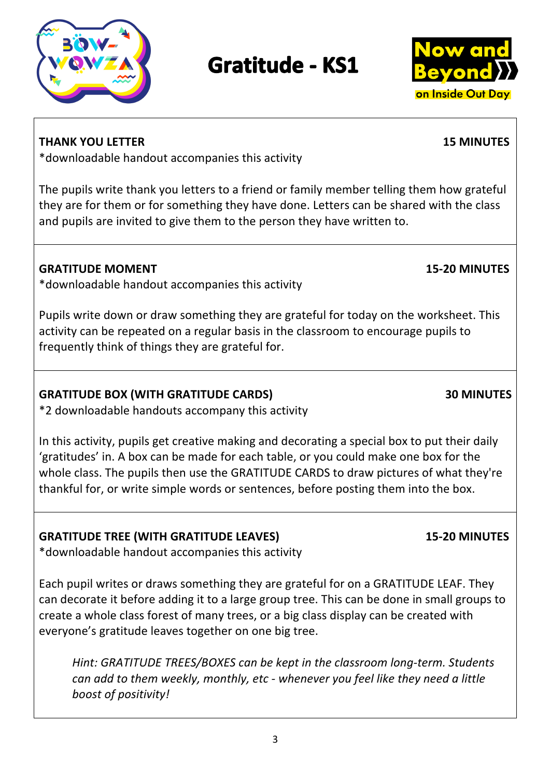

**GRATITUDE BOX (WITH GRATITUDE CARDS) 30 MINUTES**

\*2 downloadable handouts accompany this activity

In this activity, pupils get creative making and decorating a special box to put their daily 'gratitudes' in. A box can be made for each table, or you could make one box for the whole class. The pupils then use the GRATITUDE CARDS to draw pictures of what they're thankful for, or write simple words or sentences, before posting them into the box.

# **GRATITUDE TREE (WITH GRATITUDE LEAVES) 15-20 MINUTES**

\*downloadable handout accompanies this activity

Each pupil writes or draws something they are grateful for on a GRATITUDE LEAF. They can decorate it before adding it to a large group tree. This can be done in small groups to create a whole class forest of many trees, or a big class display can be created with everyone's gratitude leaves together on one big tree.

*Hint: GRATITUDE TREES/BOXES can be kept in the classroom long-term. Students can add to them weekly, monthly, etc - whenever you feel like they need a little boost of positivity!*

# **Gratitude - KS1**

The pupils write thank you letters to a friend or family member telling them how grateful

they are for them or for something they have done. Letters can be shared with the class and pupils are invited to give them to the person they have written to.

**GRATITUDE MOMENT 15-20 MINUTES**

\*downloadable handout accompanies this activity

Pupils write down or draw something they are grateful for today on the worksheet. This activity can be repeated on a regular basis in the classroom to encourage pupils to frequently think of things they are grateful for.

# \*downloadable handout accompanies this activity

on Inside Out Day



**THANK YOU LETTER 15 MINUTES**